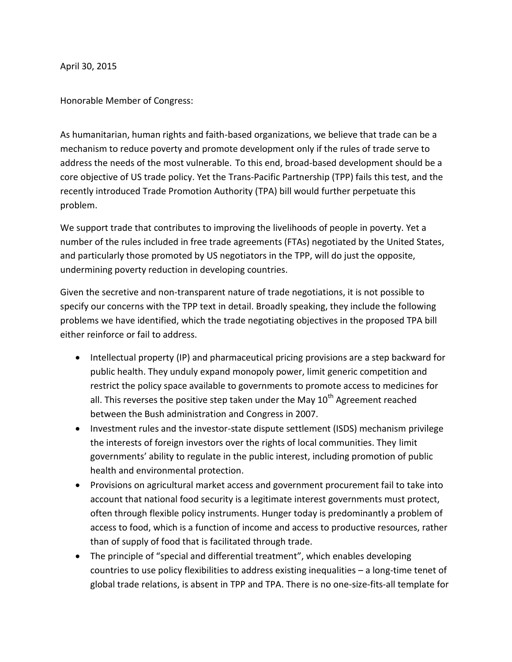April 30, 2015

Honorable Member of Congress:

As humanitarian, human rights and faith-based organizations, we believe that trade can be a mechanism to reduce poverty and promote development only if the rules of trade serve to address the needs of the most vulnerable. To this end, broad-based development should be a core objective of US trade policy. Yet the Trans-Pacific Partnership (TPP) fails this test, and the recently introduced Trade Promotion Authority (TPA) bill would further perpetuate this problem.

We support trade that contributes to improving the livelihoods of people in poverty. Yet a number of the rules included in free trade agreements (FTAs) negotiated by the United States, and particularly those promoted by US negotiators in the TPP, will do just the opposite, undermining poverty reduction in developing countries.

Given the secretive and non-transparent nature of trade negotiations, it is not possible to specify our concerns with the TPP text in detail. Broadly speaking, they include the following problems we have identified, which the trade negotiating objectives in the proposed TPA bill either reinforce or fail to address.

- Intellectual property (IP) and pharmaceutical pricing provisions are a step backward for public health. They unduly expand monopoly power, limit generic competition and restrict the policy space available to governments to promote access to medicines for all. This reverses the positive step taken under the May  $10<sup>th</sup>$  Agreement reached between the Bush administration and Congress in 2007.
- Investment rules and the investor-state dispute settlement (ISDS) mechanism privilege the interests of foreign investors over the rights of local communities. They limit governments' ability to regulate in the public interest, including promotion of public health and environmental protection.
- Provisions on agricultural market access and government procurement fail to take into account that national food security is a legitimate interest governments must protect, often through flexible policy instruments. Hunger today is predominantly a problem of access to food, which is a function of income and access to productive resources, rather than of supply of food that is facilitated through trade.
- The principle of "special and differential treatment", which enables developing countries to use policy flexibilities to address existing inequalities – a long-time tenet of global trade relations, is absent in TPP and TPA. There is no one-size-fits-all template for